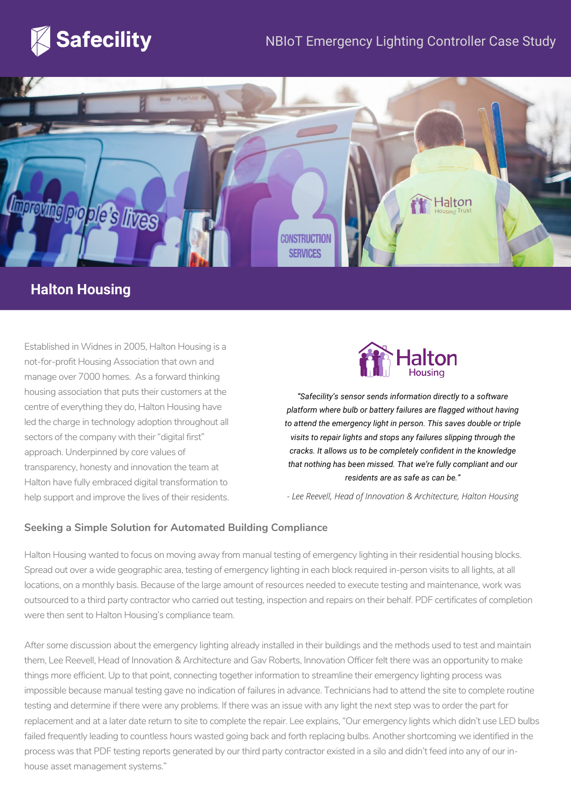

# NBIoT Emergency Lighting Controller Case Study



# **Halton Housing**

Established in Widnes in 2005, Halton Housing is a not-for-profit Housing Association that own and manage over 7000 homes. As a forward thinking housing association that puts their customers at the centre of everything they do, Halton Housing have led the charge in technology adoption throughout all sectors of the company with their "digital first" approach. Underpinned by core values of transparency, honesty and innovation the team at Halton have fully embraced digital transformation to help support and improve the lives of their residents.



*"Safecility's sensor sends information directly to a software platform where bulb or battery failures are flagged without having to attend the emergency light in person. This saves double or triple visits to repair lights and stops any failures slipping through the cracks. It allows us to be completely confident in the knowledge that nothing has been missed. That we're fully compliant and our residents are as safe as can be."*

*- Lee Reevell, Head of Innovation & Architecture, Halton Housing*

#### **Seeking a Simple Solution for Automated Building Compliance**

Halton Housing wanted to focus on moving away from manual testing of emergency lighting in their residential housing blocks. Spread out over a wide geographic area, testing of emergency lighting in each block required in-person visits to all lights, at all locations, on a monthly basis. Because of the large amount of resources needed to execute testing and maintenance, work was outsourced to a third party contractor who carried out testing, inspection and repairs on their behalf. PDF certificates of completion were then sent to Halton Housing's compliance team.

After some discussion about the emergency lighting already installed in their buildings and the methods used to test and maintain them, Lee Reevell, Head of Innovation & Architecture and Gav Roberts, Innovation Officer felt there was an opportunity to make things more efficient. Up to that point, connecting together information to streamline their emergency lighting process was impossible because manual testing gave no indication of failures in advance. Technicians had to attend the site to complete routine testing and determine if there were any problems. If there was an issue with any light the next step was to order the part for replacement and at a later date return to site to complete the repair. Lee explains, "Our emergency lights which didn't use LED bulbs failed frequently leading to countless hours wasted going back and forth replacing bulbs. Another shortcoming we identified in the process was that PDF testing reports generated by our third party contractor existed in a silo and didn't feed into any of our inhouse asset management systems."